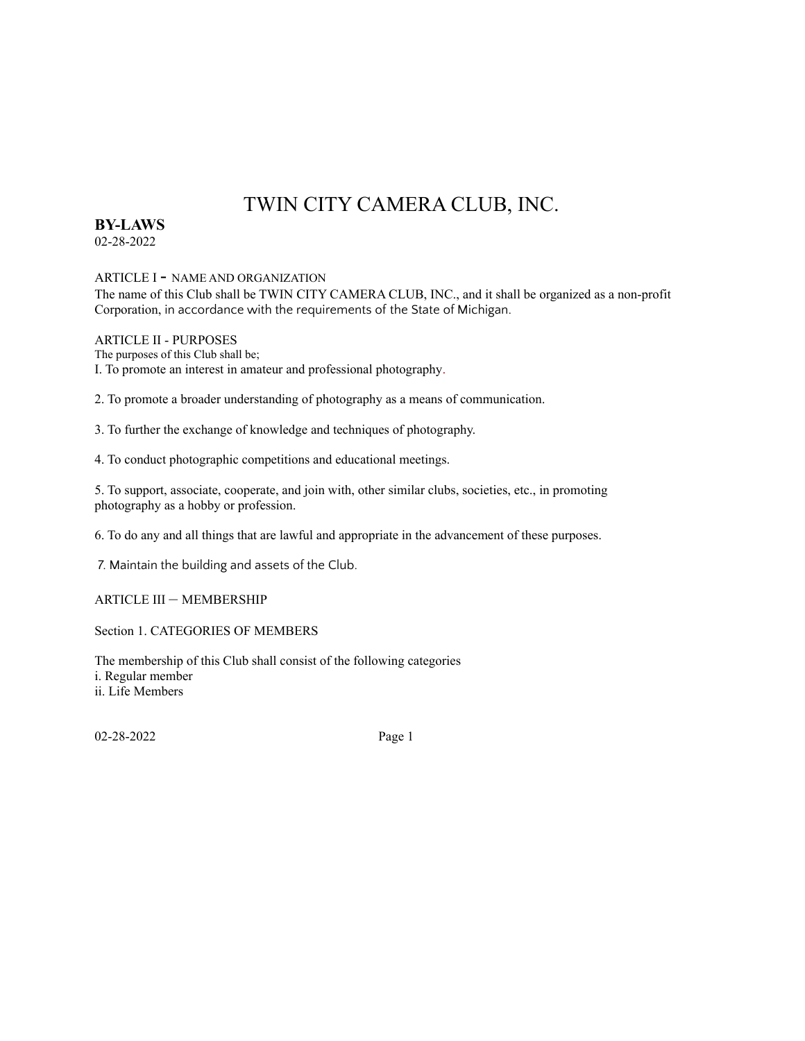# TWIN CITY CAMERA CLUB, INC.

# **BY-LAWS**

02-28-2022

## ARTICLE <sup>I</sup> - NAME AND ORGANIZATION

The name of this Club shall be TWIN CITY CAMERA CLUB, INC., and it shall be organized as a non-profit Corporation, in accordance with the requirements of the State of Michigan.

## ARTICLE II - PURPOSES

The purposes of this Club shall be; I. To promote an interest in amateur and professional photography.

2. To promote a broader understanding of photography as a means of communication.

3. To further the exchange of knowledge and techniques of photography.

4. To conduct photographic competitions and educational meetings.

5. To support, associate, cooperate, and join with, other similar clubs, societies, etc., in promoting photography as a hobby or profession.

6. To do any and all things that are lawful and appropriate in the advancement of these purposes.

7. Maintain the building and assets of the Club.

ARTICLE III – MEMBERSHIP

Section 1. CATEGORIES OF MEMBERS

The membership of this Club shall consist of the following categories i. Regular member ii. Life Members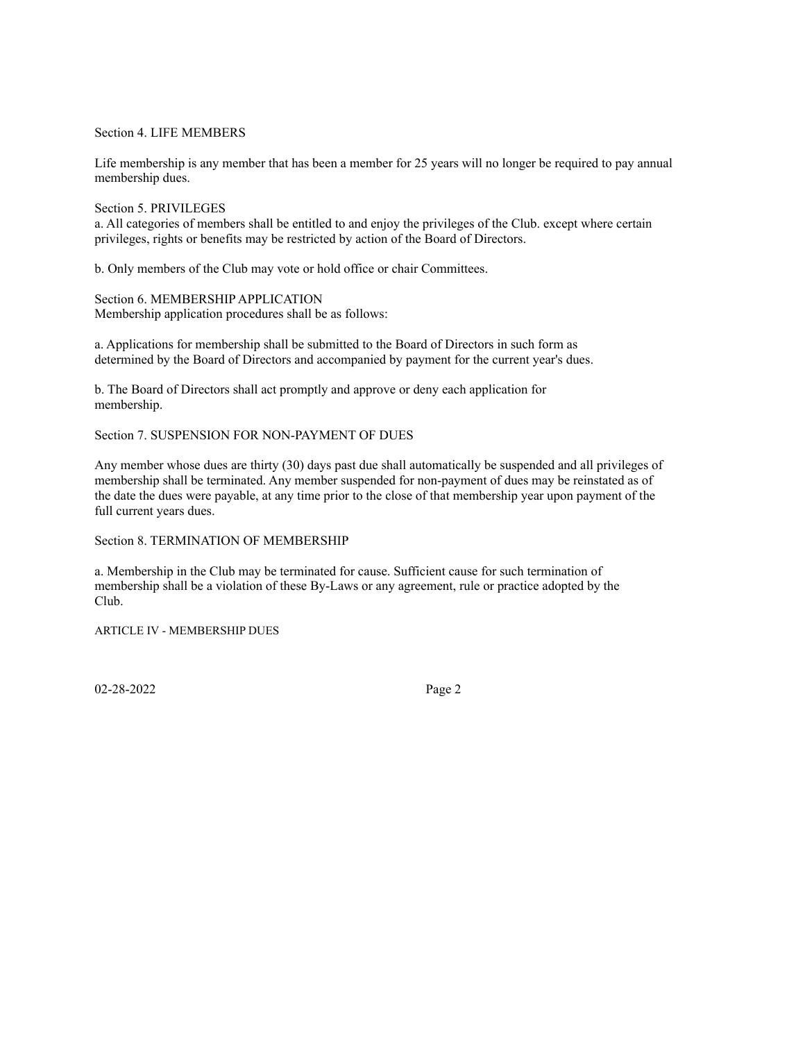Section 4. LIFE MEMBERS

Life membership is any member that has been a member for 25 years will no longer be required to pay annual membership dues.

Section 5. PRIVILEGES a. All categories of members shall be entitled to and enjoy the privileges of the Club. except where certain privileges, rights or benefits may be restricted by action of the Board of Directors.

b. Only members of the Club may vote or hold office or chair Committees.

Section 6. MEMBERSHIP APPLICATION Membership application procedures shall be as follows:

a. Applications for membership shall be submitted to the Board of Directors in such form as determined by the Board of Directors and accompanied by payment for the current year's dues.

b. The Board of Directors shall act promptly and approve or deny each application for membership.

Section 7. SUSPENSION FOR NON-PAYMENT OF DUES

Any member whose dues are thirty (30) days past due shall automatically be suspended and all privileges of membership shall be terminated. Any member suspended for non-payment of dues may be reinstated as of the date the dues were payable, at any time prior to the close of that membership year upon payment of the full current years dues.

Section 8. TERMINATION OF MEMBERSHIP

a. Membership in the Club may be terminated for cause. Sufficient cause for such termination of membership shall be a violation of these By-Laws or any agreement, rule or practice adopted by the Club.

ARTICLE IV - MEMBERSHIP DUES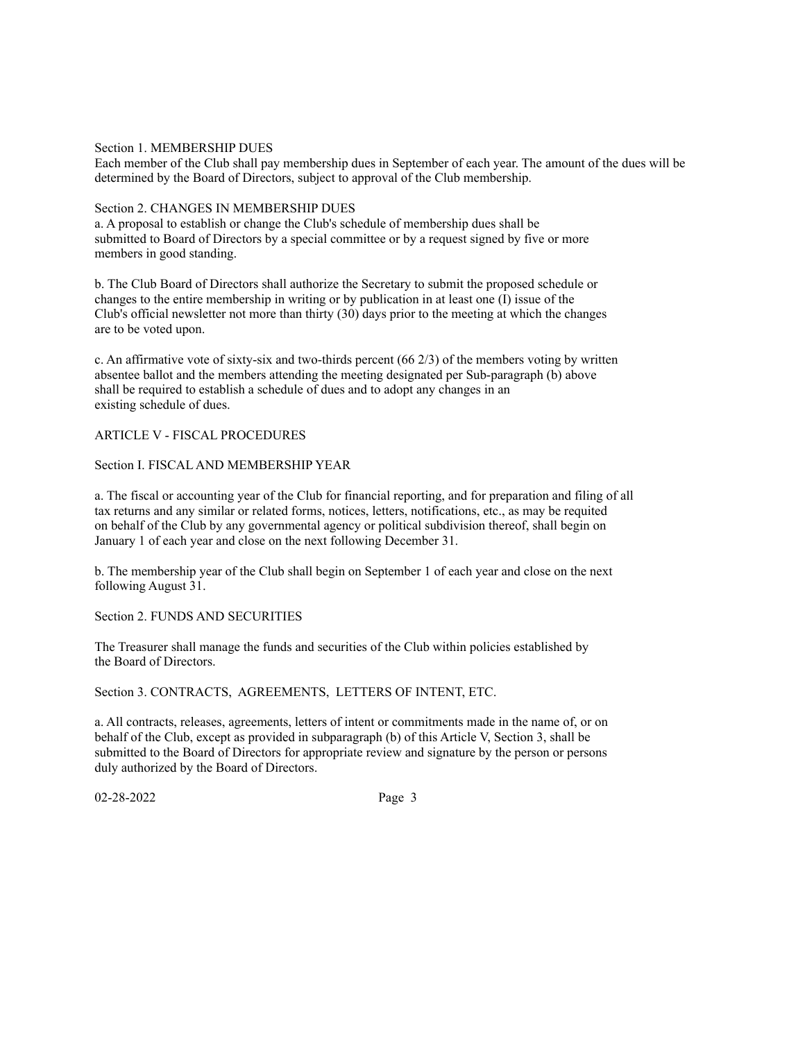## Section 1. MEMBERSHIP DUES

Each member of the Club shall pay membership dues in September of each year. The amount of the dues will be determined by the Board of Directors, subject to approval of the Club membership.

## Section 2. CHANGES IN MEMBERSHIP DUES

a. A proposal to establish or change the Club's schedule of membership dues shall be submitted to Board of Directors by a special committee or by a request signed by five or more members in good standing.

b. The Club Board of Directors shall authorize the Secretary to submit the proposed schedule or changes to the entire membership in writing or by publication in at least one (I) issue of the Club's official newsletter not more than thirty (30) days prior to the meeting at which the changes are to be voted upon.

c. An affirmative vote of sixty-six and two-thirds percent  $(66 2/3)$  of the members voting by written absentee ballot and the members attending the meeting designated per Sub-paragraph (b) above shall be required to establish a schedule of dues and to adopt any changes in an existing schedule of dues.

## ARTICLE V - FISCAL PROCEDURES

## Section I. FISCAL AND MEMBERSHIP YEAR

a. The fiscal or accounting year of the Club for financial reporting, and for preparation and filing of all tax returns and any similar or related forms, notices, letters, notifications, etc., as may be requited on behalf of the Club by any governmental agency or political subdivision thereof, shall begin on January 1 of each year and close on the next following December 31.

b. The membership year of the Club shall begin on September 1 of each year and close on the next following August 31.

Section 2. FUNDS AND SECURITIES

The Treasurer shall manage the funds and securities of the Club within policies established by the Board of Directors.

Section 3. CONTRACTS, AGREEMENTS, LETTERS OF INTENT, ETC.

a. All contracts, releases, agreements, letters of intent or commitments made in the name of, or on behalf of the Club, except as provided in subparagraph (b) of this Article V, Section 3, shall be submitted to the Board of Directors for appropriate review and signature by the person or persons duly authorized by the Board of Directors.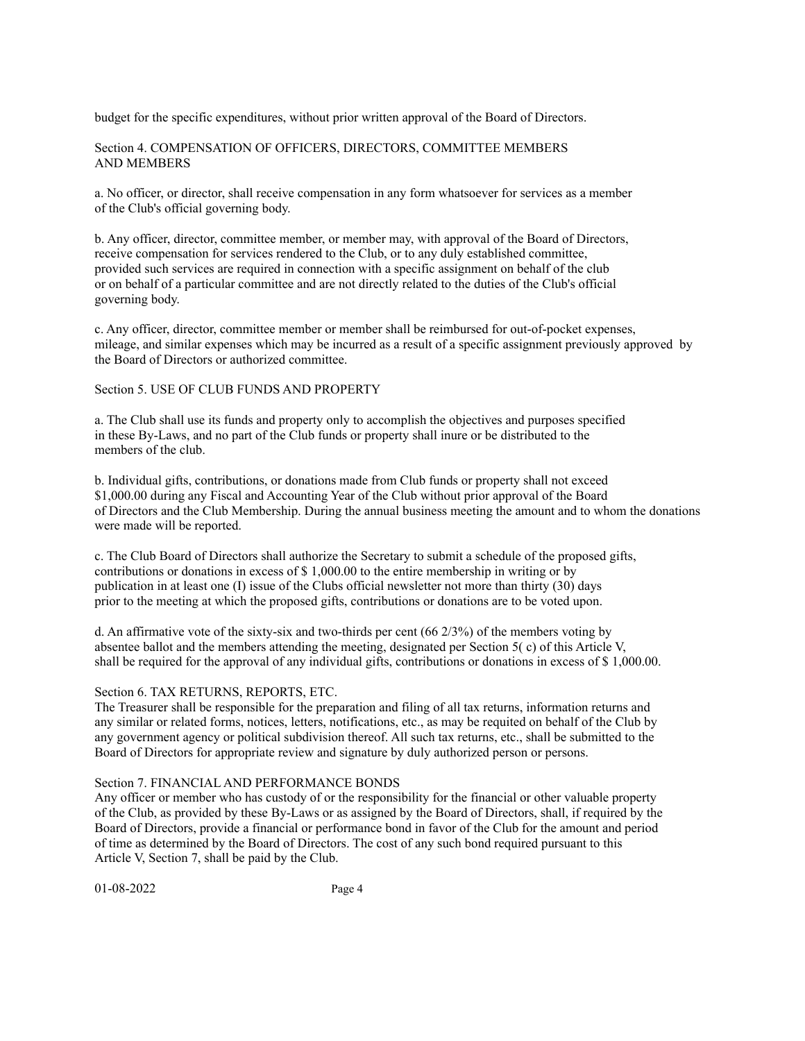budget for the specific expenditures, without prior written approval of the Board of Directors.

Section 4. COMPENSATION OF OFFICERS, DIRECTORS, COMMITTEE MEMBERS AND MEMBERS

a. No officer, or director, shall receive compensation in any form whatsoever for services as a member of the Club's official governing body.

b. Any officer, director, committee member, or member may, with approval of the Board of Directors, receive compensation for services rendered to the Club, or to any duly established committee, provided such services are required in connection with a specific assignment on behalf of the club or on behalf of a particular committee and are not directly related to the duties of the Club's official governing body.

c. Any officer, director, committee member or member shall be reimbursed for out-of-pocket expenses, mileage, and similar expenses which may be incurred as a result of a specific assignment previously approved by the Board of Directors or authorized committee.

## Section 5. USE OF CLUB FUNDS AND PROPERTY

a. The Club shall use its funds and property only to accomplish the objectives and purposes specified in these By-Laws, and no part of the Club funds or property shall inure or be distributed to the members of the club.

b. Individual gifts, contributions, or donations made from Club funds or property shall not exceed \$1,000.00 during any Fiscal and Accounting Year of the Club without prior approval of the Board of Directors and the Club Membership. During the annual business meeting the amount and to whom the donations were made will be reported.

c. The Club Board of Directors shall authorize the Secretary to submit a schedule of the proposed gifts, contributions or donations in excess of \$ 1,000.00 to the entire membership in writing or by publication in at least one (I) issue of the Clubs official newsletter not more than thirty (30) days prior to the meeting at which the proposed gifts, contributions or donations are to be voted upon.

d. An affirmative vote of the sixty-six and two-thirds per cent (66 2/3%) of the members voting by absentee ballot and the members attending the meeting, designated per Section 5( c) of this Article V, shall be required for the approval of any individual gifts, contributions or donations in excess of \$ 1,000.00.

#### Section 6. TAX RETURNS, REPORTS, ETC.

The Treasurer shall be responsible for the preparation and filing of all tax returns, information returns and any similar or related forms, notices, letters, notifications, etc., as may be requited on behalf of the Club by any government agency or political subdivision thereof. All such tax returns, etc., shall be submitted to the Board of Directors for appropriate review and signature by duly authorized person or persons.

## Section 7. FINANCIAL AND PERFORMANCE BONDS

Any officer or member who has custody of or the responsibility for the financial or other valuable property of the Club, as provided by these By-Laws or as assigned by the Board of Directors, shall, if required by the Board of Directors, provide a financial or performance bond in favor of the Club for the amount and period of time as determined by the Board of Directors. The cost of any such bond required pursuant to this Article V, Section 7, shall be paid by the Club.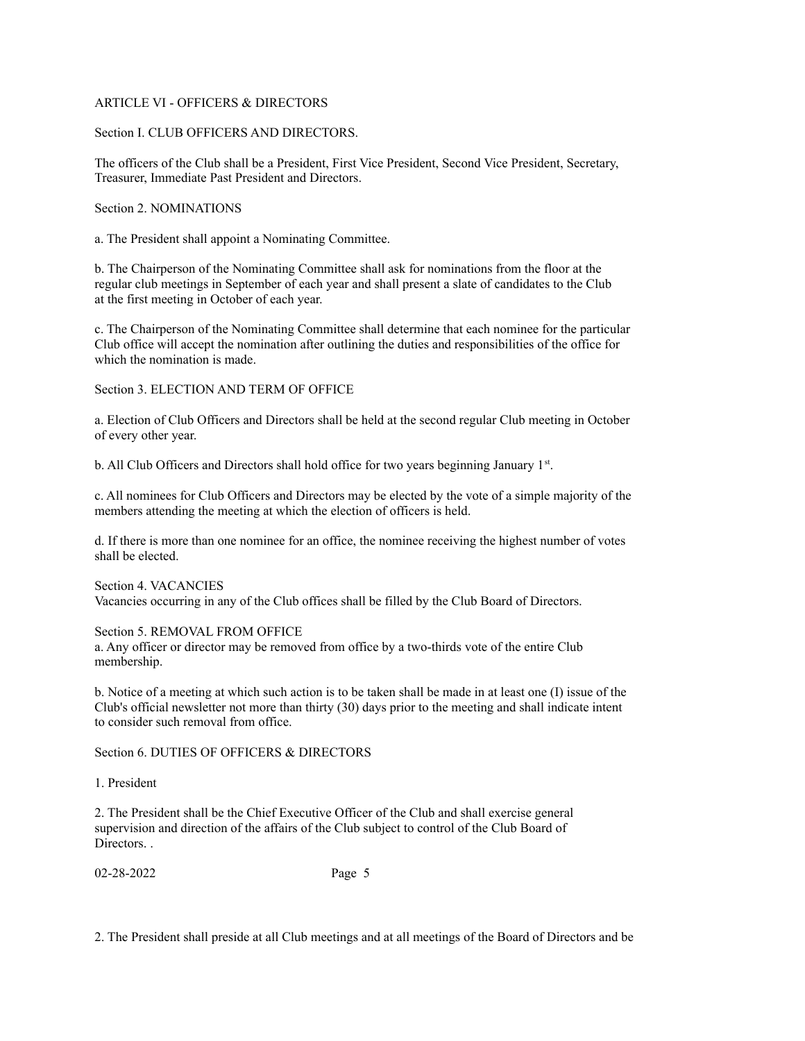## ARTICLE VI - OFFICERS & DIRECTORS

## Section I. CLUB OFFICERS AND DIRECTORS.

The officers of the Club shall be a President, First Vice President, Second Vice President, Secretary, Treasurer, Immediate Past President and Directors.

Section 2. NOMINATIONS

a. The President shall appoint a Nominating Committee.

b. The Chairperson of the Nominating Committee shall ask for nominations from the floor at the regular club meetings in September of each year and shall present a slate of candidates to the Club at the first meeting in October of each year.

c. The Chairperson of the Nominating Committee shall determine that each nominee for the particular Club office will accept the nomination after outlining the duties and responsibilities of the office for which the nomination is made.

Section 3. ELECTION AND TERM OF OFFICE

a. Election of Club Officers and Directors shall be held at the second regular Club meeting in October of every other year.

b. All Club Officers and Directors shall hold office for two years beginning January 1st.

c. All nominees for Club Officers and Directors may be elected by the vote of a simple majority of the members attending the meeting at which the election of officers is held.

d. If there is more than one nominee for an office, the nominee receiving the highest number of votes shall be elected.

Section 4. VACANCIES Vacancies occurring in any of the Club offices shall be filled by the Club Board of Directors.

Section 5. REMOVAL FROM OFFICE

a. Any officer or director may be removed from office by a two-thirds vote of the entire Club membership.

b. Notice of a meeting at which such action is to be taken shall be made in at least one (I) issue of the Club's official newsletter not more than thirty (30) days prior to the meeting and shall indicate intent to consider such removal from office.

Section 6. DUTIES OF OFFICERS & DIRECTORS

1. President

2. The President shall be the Chief Executive Officer of the Club and shall exercise general supervision and direction of the affairs of the Club subject to control of the Club Board of Directors. .

02-28-2022 Page 5

2. The President shall preside at all Club meetings and at all meetings of the Board of Directors and be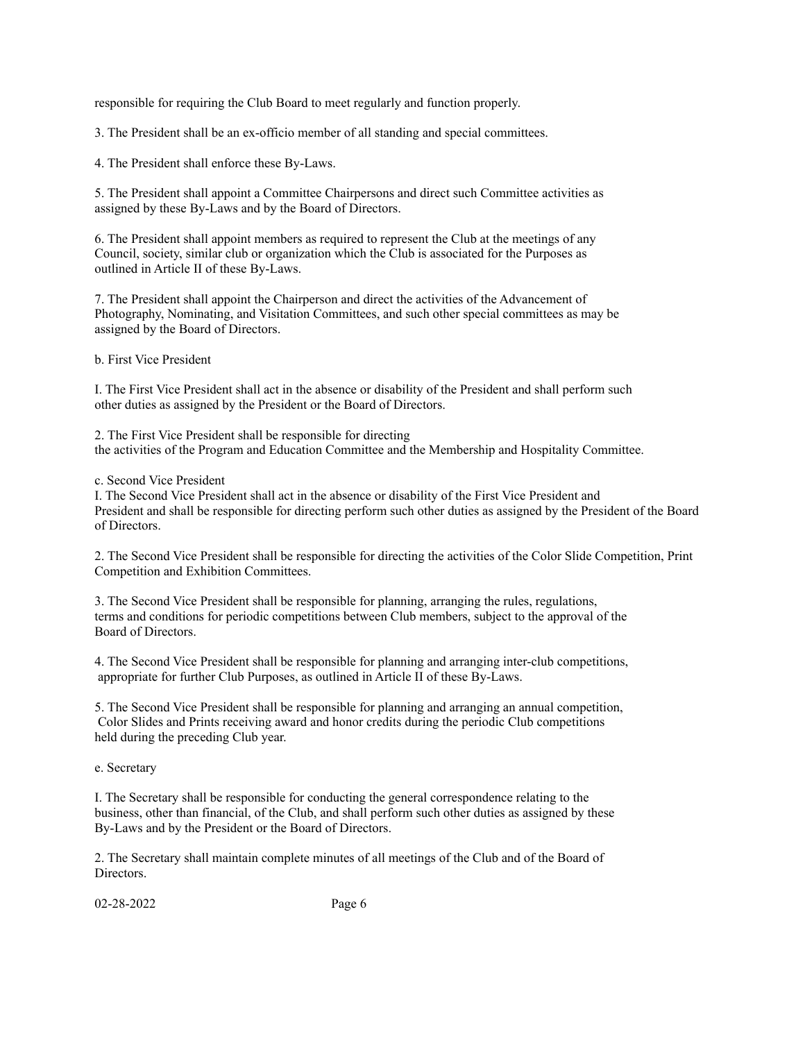responsible for requiring the Club Board to meet regularly and function properly.

3. The President shall be an ex-officio member of all standing and special committees.

4. The President shall enforce these By-Laws.

5. The President shall appoint a Committee Chairpersons and direct such Committee activities as assigned by these By-Laws and by the Board of Directors.

6. The President shall appoint members as required to represent the Club at the meetings of any Council, society, similar club or organization which the Club is associated for the Purposes as outlined in Article II of these By-Laws.

7. The President shall appoint the Chairperson and direct the activities of the Advancement of Photography, Nominating, and Visitation Committees, and such other special committees as may be assigned by the Board of Directors.

b. First Vice President

I. The First Vice President shall act in the absence or disability of the President and shall perform such other duties as assigned by the President or the Board of Directors.

2. The First Vice President shall be responsible for directing the activities of the Program and Education Committee and the Membership and Hospitality Committee.

c. Second Vice President

I. The Second Vice President shall act in the absence or disability of the First Vice President and President and shall be responsible for directing perform such other duties as assigned by the President of the Board of Directors.

2. The Second Vice President shall be responsible for directing the activities of the Color Slide Competition, Print Competition and Exhibition Committees.

3. The Second Vice President shall be responsible for planning, arranging the rules, regulations, terms and conditions for periodic competitions between Club members, subject to the approval of the Board of Directors.

4. The Second Vice President shall be responsible for planning and arranging inter-club competitions, appropriate for further Club Purposes, as outlined in Article II of these By-Laws.

5. The Second Vice President shall be responsible for planning and arranging an annual competition, Color Slides and Prints receiving award and honor credits during the periodic Club competitions held during the preceding Club year.

e. Secretary

I. The Secretary shall be responsible for conducting the general correspondence relating to the business, other than financial, of the Club, and shall perform such other duties as assigned by these By-Laws and by the President or the Board of Directors.

2. The Secretary shall maintain complete minutes of all meetings of the Club and of the Board of Directors.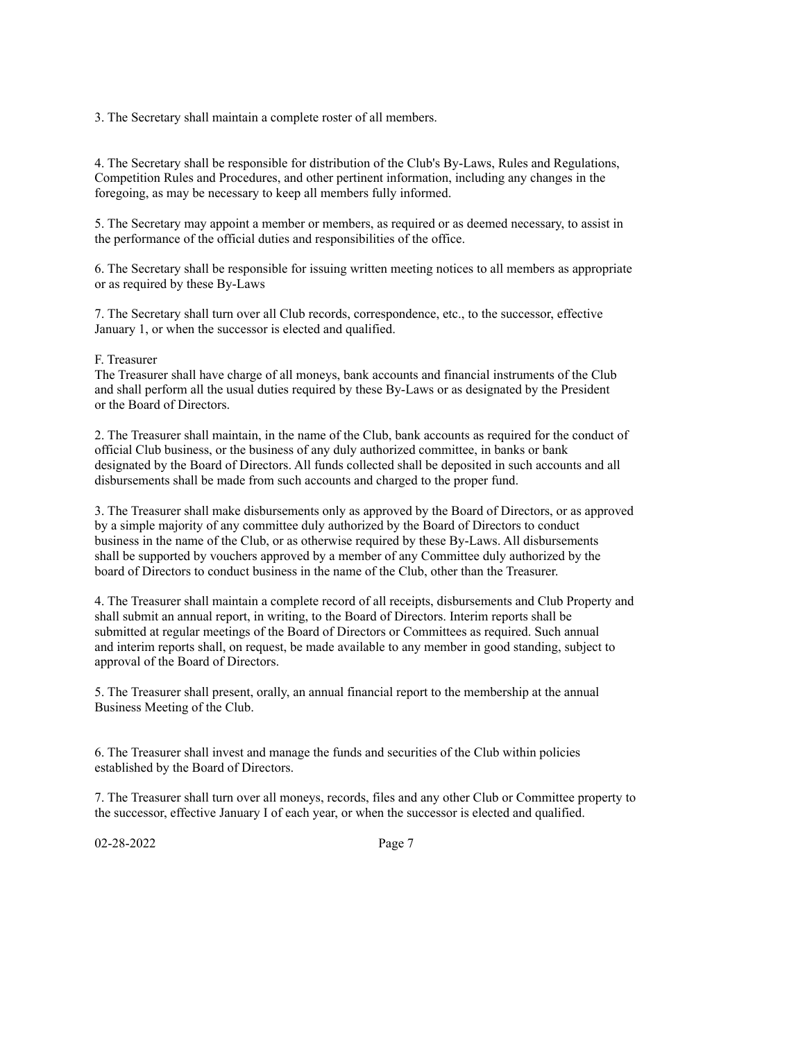3. The Secretary shall maintain a complete roster of all members.

4. The Secretary shall be responsible for distribution of the Club's By-Laws, Rules and Regulations, Competition Rules and Procedures, and other pertinent information, including any changes in the foregoing, as may be necessary to keep all members fully informed.

5. The Secretary may appoint a member or members, as required or as deemed necessary, to assist in the performance of the official duties and responsibilities of the office.

6. The Secretary shall be responsible for issuing written meeting notices to all members as appropriate or as required by these By-Laws

7. The Secretary shall turn over all Club records, correspondence, etc., to the successor, effective January 1, or when the successor is elected and qualified.

## F. Treasurer

The Treasurer shall have charge of all moneys, bank accounts and financial instruments of the Club and shall perform all the usual duties required by these By-Laws or as designated by the President or the Board of Directors.

2. The Treasurer shall maintain, in the name of the Club, bank accounts as required for the conduct of official Club business, or the business of any duly authorized committee, in banks or bank designated by the Board of Directors. All funds collected shall be deposited in such accounts and all disbursements shall be made from such accounts and charged to the proper fund.

3. The Treasurer shall make disbursements only as approved by the Board of Directors, or as approved by a simple majority of any committee duly authorized by the Board of Directors to conduct business in the name of the Club, or as otherwise required by these By-Laws. All disbursements shall be supported by vouchers approved by a member of any Committee duly authorized by the board of Directors to conduct business in the name of the Club, other than the Treasurer.

4. The Treasurer shall maintain a complete record of all receipts, disbursements and Club Property and shall submit an annual report, in writing, to the Board of Directors. Interim reports shall be submitted at regular meetings of the Board of Directors or Committees as required. Such annual and interim reports shall, on request, be made available to any member in good standing, subject to approval of the Board of Directors.

5. The Treasurer shall present, orally, an annual financial report to the membership at the annual Business Meeting of the Club.

6. The Treasurer shall invest and manage the funds and securities of the Club within policies established by the Board of Directors.

7. The Treasurer shall turn over all moneys, records, files and any other Club or Committee property to the successor, effective January I of each year, or when the successor is elected and qualified.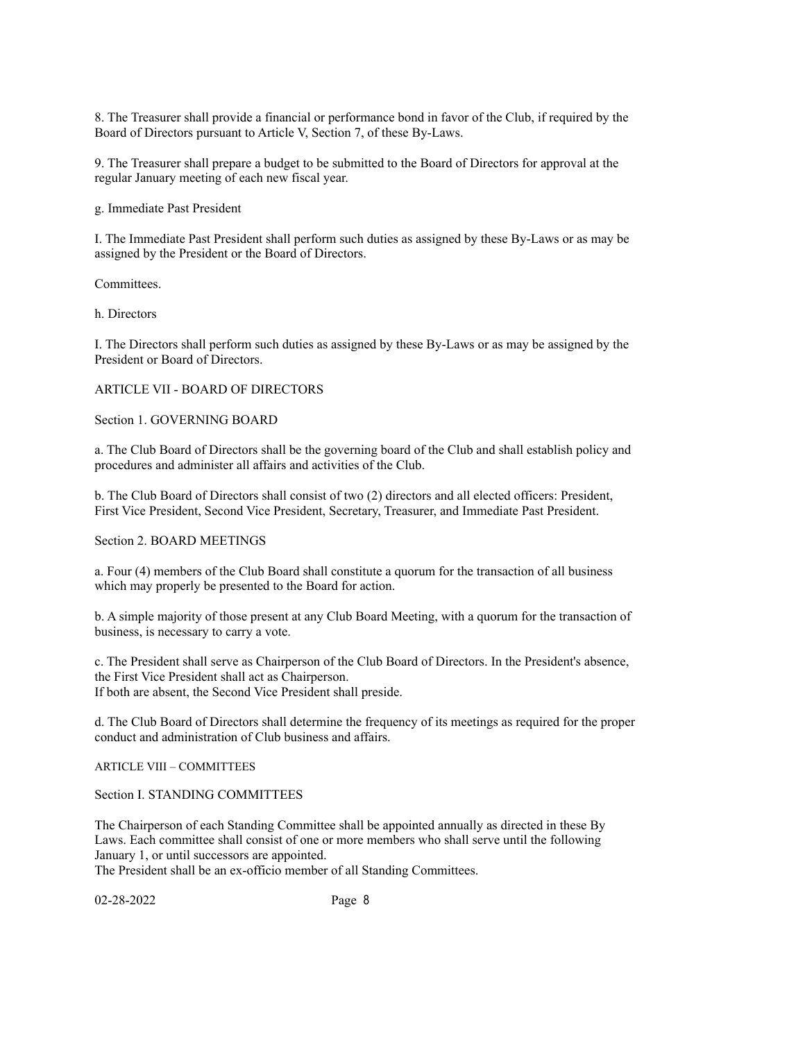8. The Treasurer shall provide a financial or performance bond in favor of the Club, if required by the Board of Directors pursuant to Article V, Section 7, of these By-Laws.

9. The Treasurer shall prepare a budget to be submitted to the Board of Directors for approval at the regular January meeting of each new fiscal year.

g. Immediate Past President

I. The Immediate Past President shall perform such duties as assigned by these By-Laws or as may be assigned by the President or the Board of Directors.

Committees.

h. Directors

I. The Directors shall perform such duties as assigned by these By-Laws or as may be assigned by the President or Board of Directors.

## ARTICLE VII - BOARD OF DIRECTORS

Section 1. GOVERNING BOARD

a. The Club Board of Directors shall be the governing board of the Club and shall establish policy and procedures and administer all affairs and activities of the Club.

b. The Club Board of Directors shall consist of two (2) directors and all elected officers: President, First Vice President, Second Vice President, Secretary, Treasurer, and Immediate Past President.

Section 2. BOARD MEETINGS

a. Four (4) members of the Club Board shall constitute a quorum for the transaction of all business which may properly be presented to the Board for action.

b. A simple majority of those present at any Club Board Meeting, with a quorum for the transaction of business, is necessary to carry a vote.

c. The President shall serve as Chairperson of the Club Board of Directors. In the President's absence, the First Vice President shall act as Chairperson. If both are absent, the Second Vice President shall preside.

d. The Club Board of Directors shall determine the frequency of its meetings as required for the proper conduct and administration of Club business and affairs.

ARTICLE VIII – COMMITTEES

Section I. STANDING COMMITTEES

The Chairperson of each Standing Committee shall be appointed annually as directed in these By Laws. Each committee shall consist of one or more members who shall serve until the following January 1, or until successors are appointed.

The President shall be an ex-officio member of all Standing Committees.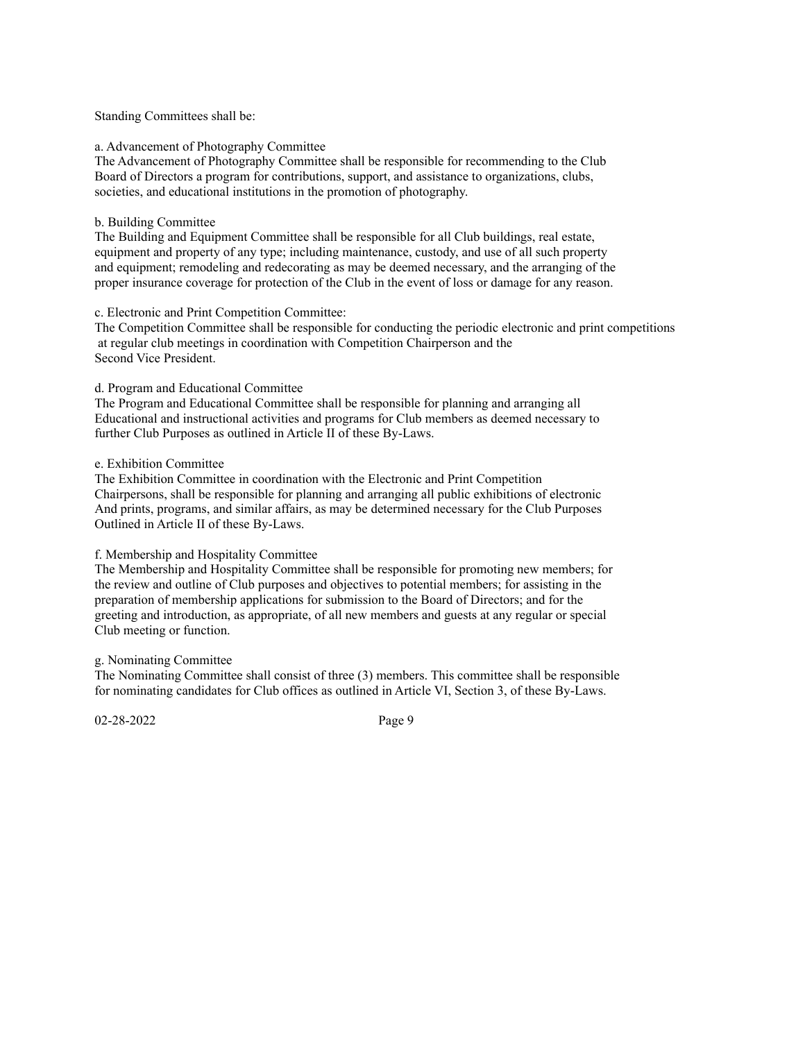#### Standing Committees shall be:

#### a. Advancement of Photography Committee

The Advancement of Photography Committee shall be responsible for recommending to the Club Board of Directors a program for contributions, support, and assistance to organizations, clubs, societies, and educational institutions in the promotion of photography.

#### b. Building Committee

The Building and Equipment Committee shall be responsible for all Club buildings, real estate, equipment and property of any type; including maintenance, custody, and use of all such property and equipment; remodeling and redecorating as may be deemed necessary, and the arranging of the proper insurance coverage for protection of the Club in the event of loss or damage for any reason.

#### c. Electronic and Print Competition Committee:

The Competition Committee shall be responsible for conducting the periodic electronic and print competitions at regular club meetings in coordination with Competition Chairperson and the Second Vice President.

#### d. Program and Educational Committee

The Program and Educational Committee shall be responsible for planning and arranging all Educational and instructional activities and programs for Club members as deemed necessary to further Club Purposes as outlined in Article II of these By-Laws.

## e. Exhibition Committee

The Exhibition Committee in coordination with the Electronic and Print Competition Chairpersons, shall be responsible for planning and arranging all public exhibitions of electronic And prints, programs, and similar affairs, as may be determined necessary for the Club Purposes Outlined in Article II of these By-Laws.

#### f. Membership and Hospitality Committee

The Membership and Hospitality Committee shall be responsible for promoting new members; for the review and outline of Club purposes and objectives to potential members; for assisting in the preparation of membership applications for submission to the Board of Directors; and for the greeting and introduction, as appropriate, of all new members and guests at any regular or special Club meeting or function.

## g. Nominating Committee

The Nominating Committee shall consist of three (3) members. This committee shall be responsible for nominating candidates for Club offices as outlined in Article VI, Section 3, of these By-Laws.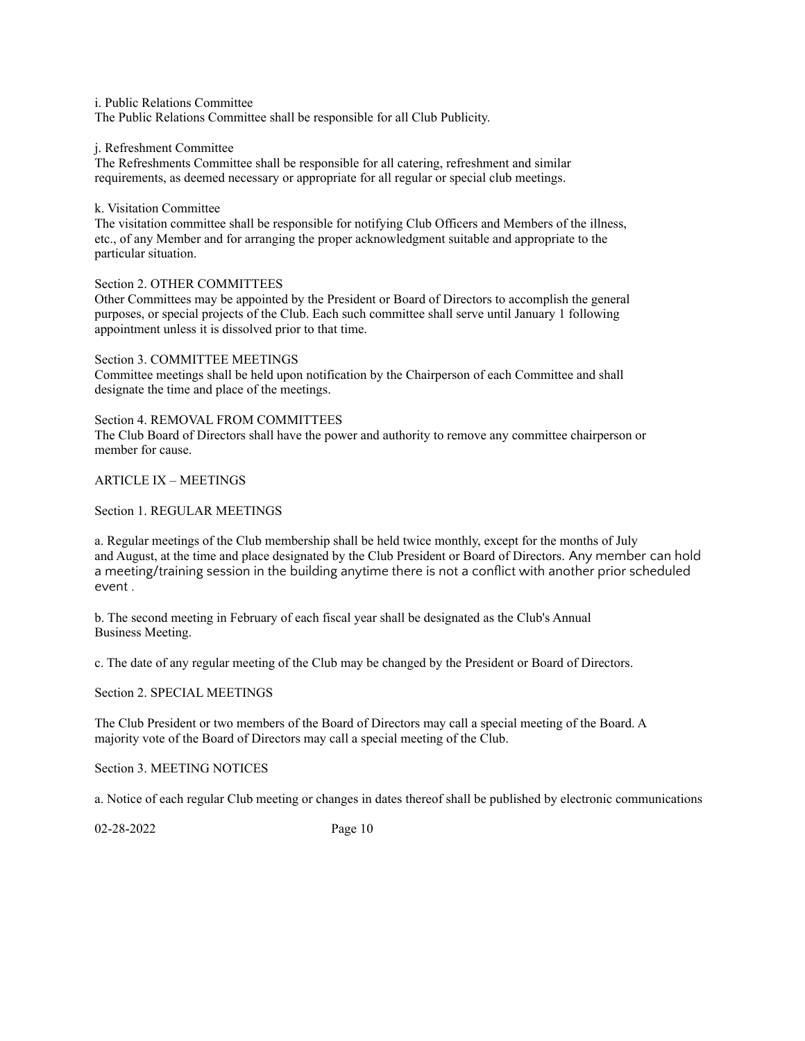i. Public Relations Committee

The Public Relations Committee shall be responsible for all Club Publicity.

#### j. Refreshment Committee

The Refreshments Committee shall be responsible for all catering, refreshment and similar requirements, as deemed necessary or appropriate for all regular or special club meetings.

## k. Visitation Committee

The visitation committee shall be responsible for notifying Club Officers and Members of the illness, etc., of any Member and for arranging the proper acknowledgment suitable and appropriate to the particular situation.

## Section 2. OTHER COMMITTEES

Other Committees may be appointed by the President or Board of Directors to accomplish the general purposes, or special projects of the Club. Each such committee shall serve until January 1 following appointment unless it is dissolved prior to that time.

Section 3. COMMITTEE MEETINGS Committee meetings shall be held upon notification by the Chairperson of each Committee and shall designate the time and place of the meetings.

Section 4. REMOVAL FROM COMMITTEES The Club Board of Directors shall have the power and authority to remove any committee chairperson or member for cause.

## ARTICLE IX – MEETINGS

## Section 1. REGULAR MEETINGS

a. Regular meetings of the Club membership shall be held twice monthly, except for the months of July and August, at the time and place designated by the Club President or Board of Directors. Any member can hold a meeting/training session in the building anytime there is not a conflict with another prior scheduled event .

b. The second meeting in February of each fiscal year shall be designated as the Club's Annual Business Meeting.

c. The date of any regular meeting of the Club may be changed by the President or Board of Directors.

## Section 2. SPECIAL MEETINGS

The Club President or two members of the Board of Directors may call a special meeting of the Board. A majority vote of the Board of Directors may call a special meeting of the Club.

Section 3. MEETING NOTICES

a. Notice of each regular Club meeting or changes in dates thereof shall be published by electronic communications